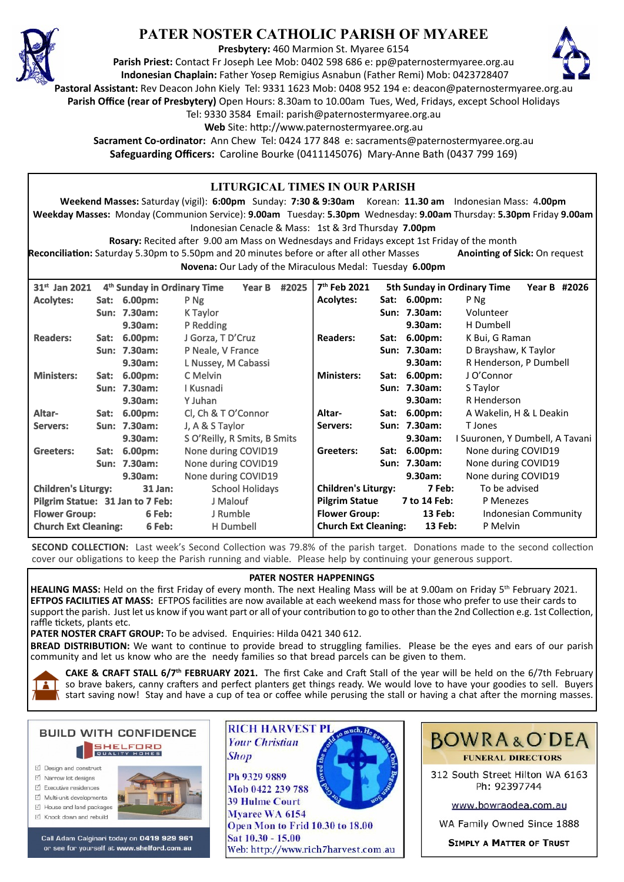

# **PATER NOSTER CATHOLIC PARISH OF MYAREE**

**Presbytery:** 460 Marmion St. Myaree 6154

**Parish Priest:** Contact Fr Joseph Lee Mob: 0402 598 686 e: pp@paternostermyaree.org.au **Indonesian Chaplain:** Father Yosep Remigius Asnabun (Father Remi) Mob: 0423728407



**Pastoral Assistant:** Rev Deacon John Kiely Tel: 9331 1623 Mob: 0408 952 194 e: deacon@paternostermyaree.org.au

**Parish Office (rear of Presbytery)** Open Hours: 8.30am to 10.00am Tues, Wed, Fridays, except School Holidays

Tel: 9330 3584 Email: parish@paternostermyaree.org.au

Web Site: http://www.paternostermyaree.org.au

**Sacrament Co-ordinator:** Ann Chew Tel: 0424 177 848 e: sacraments@paternostermyaree.org.au **Safeguarding Officers:** Caroline Bourke (0411145076) Mary-Anne Bath (0437 799 169)

| LITURGICAL TIMES IN OUR PARISH                                                                                                    |                                         |              |                                         |                        |       |                          |                                        |                         |                             |                      |  |  |
|-----------------------------------------------------------------------------------------------------------------------------------|-----------------------------------------|--------------|-----------------------------------------|------------------------|-------|--------------------------|----------------------------------------|-------------------------|-----------------------------|----------------------|--|--|
| Weekend Masses: Saturday (vigil): 6:00pm Sunday: 7:30 & 9:30am Korean: 11.30 am Indonesian Mass: 4.00pm                           |                                         |              |                                         |                        |       |                          |                                        |                         |                             |                      |  |  |
| Weekday Masses: Monday (Communion Service): 9.00am Tuesday: 5.30pm Wednesday: 9.00am Thursday: 5.30pm Friday 9.00am               |                                         |              |                                         |                        |       |                          |                                        |                         |                             |                      |  |  |
| Indonesian Cenacle & Mass: 1st & 3rd Thursday 7.00pm                                                                              |                                         |              |                                         |                        |       |                          |                                        |                         |                             |                      |  |  |
| Rosary: Recited after 9.00 am Mass on Wednesdays and Fridays except 1st Friday of the month                                       |                                         |              |                                         |                        |       |                          |                                        |                         |                             |                      |  |  |
| Reconciliation: Saturday 5.30pm to 5.50pm and 20 minutes before or after all other Masses<br><b>Anointing of Sick: On request</b> |                                         |              |                                         |                        |       |                          |                                        |                         |                             |                      |  |  |
| Novena: Our Lady of the Miraculous Medal: Tuesday 6.00pm                                                                          |                                         |              |                                         |                        |       |                          |                                        |                         |                             |                      |  |  |
|                                                                                                                                   |                                         |              |                                         |                        |       |                          |                                        |                         |                             |                      |  |  |
| 31 <sup>st</sup> Jan 2021                                                                                                         |                                         |              | 4 <sup>th</sup> Sunday in Ordinary Time | <b>Year B</b>          | #2025 | 7 <sup>th</sup> Feb 2021 |                                        |                         | 5th Sunday in Ordinary Time | Year B #2026         |  |  |
| <b>Acolytes:</b>                                                                                                                  | Sat:                                    | 6.00pm:      | P Ng                                    |                        |       | <b>Acolytes:</b>         |                                        | Sat: 6.00pm:            | P Ng                        |                      |  |  |
|                                                                                                                                   |                                         | Sun: 7.30am: | K Taylor                                |                        |       |                          |                                        | Sun: 7.30am:            | Volunteer                   |                      |  |  |
|                                                                                                                                   |                                         | 9.30am:      | P Redding                               |                        |       |                          |                                        | 9.30am:                 | H Dumbell                   |                      |  |  |
| <b>Readers:</b>                                                                                                                   | Sat:                                    | 6.00pm:      |                                         | J Gorza, T D'Cruz      |       |                          | Sat:                                   | $6.00pm$ :              | K Bui, G Raman              |                      |  |  |
|                                                                                                                                   |                                         | Sun: 7.30am: | P Neale, V France                       |                        |       |                          |                                        | Sun: 7.30am:            | D Brayshaw, K Taylor        |                      |  |  |
|                                                                                                                                   |                                         | 9.30am:      |                                         | L Nussey, M Cabassi    |       |                          |                                        | 9.30am:                 | R Henderson, P Dumbell      |                      |  |  |
| <b>Ministers:</b>                                                                                                                 | Sat:                                    | 6.00pm:      | C Melvin                                |                        |       |                          | Sat:                                   | $6.00pm$ :              | J O'Connor                  |                      |  |  |
|                                                                                                                                   |                                         | Sun: 7.30am: | I Kusnadi                               |                        |       |                          |                                        | Sun: 7.30am:            | S Taylor                    |                      |  |  |
|                                                                                                                                   |                                         | 9.30am:      | Y Juhan                                 |                        |       |                          |                                        | 9.30am:                 | R Henderson                 |                      |  |  |
| Altar-                                                                                                                            | Sat:                                    | 6.00pm:      |                                         | CI, Ch & T O'Connor    |       | Altar-                   | Sat:                                   | $6.00pm$ :              | A Wakelin, H & L Deakin     |                      |  |  |
| Servers:                                                                                                                          |                                         | Sun: 7.30am: |                                         | J, A & S Taylor        |       |                          |                                        | Sun: 7.30am:<br>T Jones |                             |                      |  |  |
|                                                                                                                                   | 9.30am:<br>S O'Reilly, R Smits, B Smits |              |                                         | 9.30am:                |       |                          | I Suuronen, Y Dumbell, A Tavani        |                         |                             |                      |  |  |
| Greeters:                                                                                                                         | Sat:                                    | 6.00pm:      |                                         | None during COVID19    |       | Greeters:<br>Sat:        |                                        | $6.00pm$ :              | None during COVID19         |                      |  |  |
|                                                                                                                                   |                                         | Sun: 7.30am: | None during COVID19                     |                        |       |                          |                                        | Sun: 7.30am:            | None during COVID19         |                      |  |  |
|                                                                                                                                   |                                         | 9.30am:      | None during COVID19                     |                        |       |                          |                                        | 9.30am:                 | None during COVID19         |                      |  |  |
| <b>Children's Liturgy:</b><br><b>31 Jan:</b>                                                                                      |                                         |              |                                         | <b>School Holidays</b> |       |                          | <b>Children's Liturgy:</b>             |                         | To be advised               |                      |  |  |
| Pilgrim Statue: 31 Jan to 7 Feb:                                                                                                  |                                         |              |                                         | J Malouf               |       |                          | <b>Pilgrim Statue</b><br>7 to 14 Feb:  |                         | P Menezes                   |                      |  |  |
| <b>Flower Group:</b><br>6 Feb:                                                                                                    |                                         |              |                                         | J Rumble               |       |                          | <b>Flower Group:</b><br><b>13 Feb:</b> |                         |                             | Indonesian Community |  |  |
| <b>Church Ext Cleaning:</b><br>6 Feb:                                                                                             |                                         |              |                                         | <b>H</b> Dumbell       |       |                          | <b>Church Ext Cleaning:</b><br>13 Feb: |                         |                             | P Melvin             |  |  |

**SECOND COLLECTION:** Last week's Second Collection was 79.8% of the parish target. Donations made to the second collection cover our obligations to keep the Parish running and viable. Please help by continuing your generous support.

#### **PATER NOSTER HAPPENINGS**

**HEALING MASS:** Held on the first Friday of every month. The next Healing Mass will be at 9.00am on Friday 5th February 2021. **EFTPOS FACILITIES AT MASS:** EFTPOS facili�es are now available at each weekend mass for those who prefer to use their cards to support the parish. Just let us know if you want part or all of your contribution to go to other than the 2nd Collection e.g. 1st Collection, raffle tickets, plants etc.

PATER NOSTER CRAFT GROUP: To be advised. Enquiries: Hilda 0421 340 612.

BREAD DISTRIBUTION: We want to continue to provide bread to struggling families. Please be the eyes and ears of our parish community and let us know who are the needy families so that bread parcels can be given to them.



**CAKE & CRAFT STALL 6/7<sup>th</sup> FEBRUARY 2021.** The first Cake and Craft Stall of the year will be held on the 6/7th February so brave bakers, canny crafters and perfect planters get things ready. We would love to have your goodies to sell. Buyers  $\overline{\phantom{a}}$  start saving now! Stay and have a cup of tea or coffee while perusing the stall or having a chat after the morning masses.

**BUILD WITH CONFIDENCE SHELFORD** □ Design and construct  $\triangledown$  Narrow lot designe

- $\triangledown$  Executive residences
- Multi-unit developments
- $\forall$  House and land packages
- ☑ Knock down and rebuild



Call Adam Calginari today on 0419 929 961 or see for yourself at www.shelford.com.au



Mob 0422 239 788 **39 Hulme Court** Myaree WA 6154 Open Mon to Frid 10.30 to 18.00 Sat 10.30 - 15.00 Web: http://www.rich7harvest.com.au



312 South Street Hilton WA 6163 Ph: 92397744

www.bowraodea.com.au

WA Family Owned Since 1888

**SIMPLY A MATTER OF TRUST**